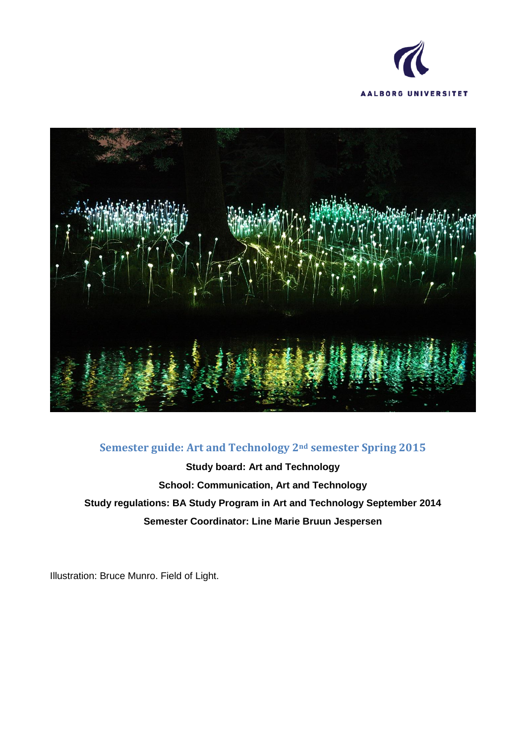



# **Semester guide: Art and Technology 2nd semester Spring 2015**

**Study board: Art and Technology School: Communication, Art and Technology Study regulations: BA Study Program in Art and Technology September 2014 Semester Coordinator: Line Marie Bruun Jespersen**

Illustration: Bruce Munro. Field of Light.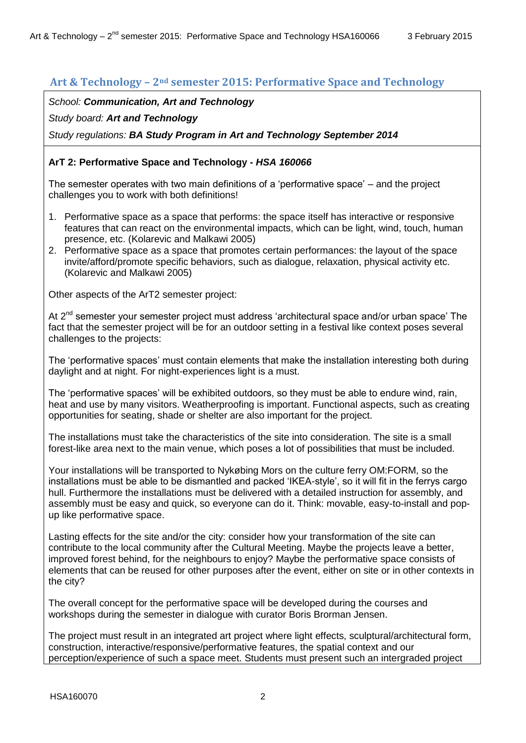# **Art & Technology – 2nd semester 2015: Performative Space and Technology**

*School: Communication, Art and Technology*

*Study board: Art and Technology*

*Study regulations: BA Study Program in Art and Technology September 2014*

### **ArT 2: Performative Space and Technology -** *HSA 160066*

The semester operates with two main definitions of a "performative space" – and the project challenges you to work with both definitions!

- 1. Performative space as a space that performs: the space itself has interactive or responsive features that can react on the environmental impacts, which can be light, wind, touch, human presence, etc. (Kolarevic and Malkawi 2005)
- 2. Performative space as a space that promotes certain performances: the layout of the space invite/afford/promote specific behaviors, such as dialogue, relaxation, physical activity etc. (Kolarevic and Malkawi 2005)

Other aspects of the ArT2 semester project:

At 2<sup>nd</sup> semester your semester project must address 'architectural space and/or urban space' The fact that the semester project will be for an outdoor setting in a festival like context poses several challenges to the projects:

The 'performative spaces' must contain elements that make the installation interesting both during daylight and at night. For night-experiences light is a must.

The "performative spaces" will be exhibited outdoors, so they must be able to endure wind, rain, heat and use by many visitors. Weatherproofing is important. Functional aspects, such as creating opportunities for seating, shade or shelter are also important for the project.

The installations must take the characteristics of the site into consideration. The site is a small forest-like area next to the main venue, which poses a lot of possibilities that must be included.

Your installations will be transported to Nykøbing Mors on the culture ferry OM:FORM, so the installations must be able to be dismantled and packed 'IKEA-style', so it will fit in the ferrys cargo hull. Furthermore the installations must be delivered with a detailed instruction for assembly, and assembly must be easy and quick, so everyone can do it. Think: movable, easy-to-install and popup like performative space.

Lasting effects for the site and/or the city: consider how your transformation of the site can contribute to the local community after the Cultural Meeting. Maybe the projects leave a better, improved forest behind, for the neighbours to enjoy? Maybe the performative space consists of elements that can be reused for other purposes after the event, either on site or in other contexts in the city?

The overall concept for the performative space will be developed during the courses and workshops during the semester in dialogue with curator Boris Brorman Jensen.

The project must result in an integrated art project where light effects, sculptural/architectural form, construction, interactive/responsive/performative features, the spatial context and our perception/experience of such a space meet. Students must present such an intergraded project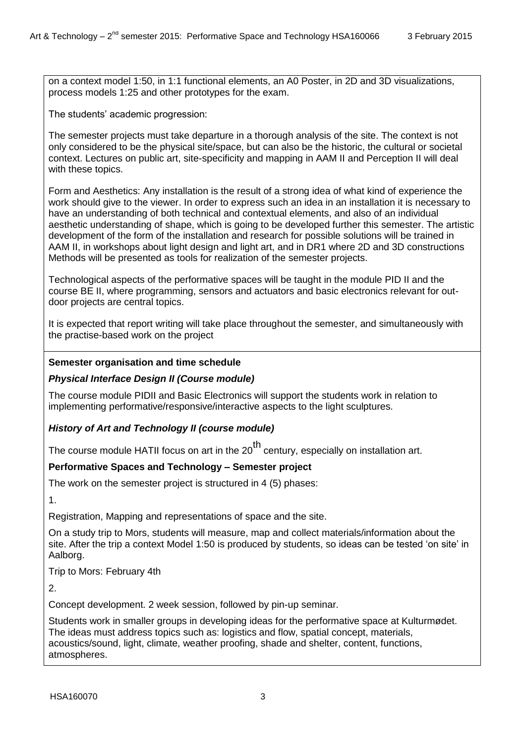on a context model 1:50, in 1:1 functional elements, an A0 Poster, in 2D and 3D visualizations, process models 1:25 and other prototypes for the exam.

The students" academic progression:

The semester projects must take departure in a thorough analysis of the site. The context is not only considered to be the physical site/space, but can also be the historic, the cultural or societal context. Lectures on public art, site-specificity and mapping in AAM II and Perception II will deal with these topics.

Form and Aesthetics: Any installation is the result of a strong idea of what kind of experience the work should give to the viewer. In order to express such an idea in an installation it is necessary to have an understanding of both technical and contextual elements, and also of an individual aesthetic understanding of shape, which is going to be developed further this semester. The artistic development of the form of the installation and research for possible solutions will be trained in AAM II, in workshops about light design and light art, and in DR1 where 2D and 3D constructions Methods will be presented as tools for realization of the semester projects.

Technological aspects of the performative spaces will be taught in the module PID II and the course BE II, where programming, sensors and actuators and basic electronics relevant for outdoor projects are central topics.

It is expected that report writing will take place throughout the semester, and simultaneously with the practise-based work on the project

#### **Semester organisation and time schedule**

#### *Physical Interface Design II (Course module)*

The course module PIDII and Basic Electronics will support the students work in relation to implementing performative/responsive/interactive aspects to the light sculptures.

#### *History of Art and Technology II (course module)*

The course module HATII focus on art in the 20<sup>th</sup> century, especially on installation art.

#### **Performative Spaces and Technology – Semester project**

The work on the semester project is structured in 4 (5) phases:

1.

Registration, Mapping and representations of space and the site.

On a study trip to Mors, students will measure, map and collect materials/information about the site. After the trip a context Model 1:50 is produced by students, so ideas can be tested "on site" in Aalborg.

Trip to Mors: February 4th

2.

Concept development. 2 week session, followed by pin-up seminar.

Students work in smaller groups in developing ideas for the performative space at Kulturmødet. The ideas must address topics such as: logistics and flow, spatial concept, materials, acoustics/sound, light, climate, weather proofing, shade and shelter, content, functions, atmospheres.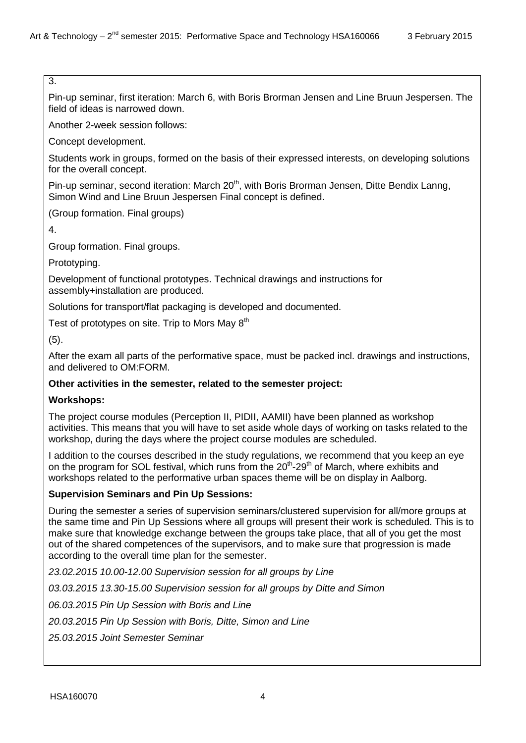### 3.

Pin-up seminar, first iteration: March 6, with Boris Brorman Jensen and Line Bruun Jespersen. The field of ideas is narrowed down.

Another 2-week session follows:

Concept development.

Students work in groups, formed on the basis of their expressed interests, on developing solutions for the overall concept.

Pin-up seminar, second iteration: March 20<sup>th</sup>, with Boris Brorman Jensen, Ditte Bendix Lanng, Simon Wind and Line Bruun Jespersen Final concept is defined.

(Group formation. Final groups)

4.

Group formation. Final groups.

Prototyping.

Development of functional prototypes. Technical drawings and instructions for assembly+installation are produced.

Solutions for transport/flat packaging is developed and documented.

Test of prototypes on site. Trip to Mors May  $8<sup>th</sup>$ 

(5).

After the exam all parts of the performative space, must be packed incl. drawings and instructions, and delivered to OM:FORM.

# **Other activities in the semester, related to the semester project:**

#### **Workshops:**

The project course modules (Perception II, PIDII, AAMII) have been planned as workshop activities. This means that you will have to set aside whole days of working on tasks related to the workshop, during the days where the project course modules are scheduled.

I addition to the courses described in the study regulations, we recommend that you keep an eye on the program for SOL festival, which runs from the 20<sup>th</sup>-29<sup>th</sup> of March, where exhibits and workshops related to the performative urban spaces theme will be on display in Aalborg.

#### **Supervision Seminars and Pin Up Sessions:**

During the semester a series of supervision seminars/clustered supervision for all/more groups at the same time and Pin Up Sessions where all groups will present their work is scheduled. This is to make sure that knowledge exchange between the groups take place, that all of you get the most out of the shared competences of the supervisors, and to make sure that progression is made according to the overall time plan for the semester.

*23.02.2015 10.00-12.00 Supervision session for all groups by Line*

*03.03.2015 13.30-15.00 Supervision session for all groups by Ditte and Simon*

*06.03.2015 Pin Up Session with Boris and Line*

*20.03.2015 Pin Up Session with Boris, Ditte, Simon and Line*

*25.03.2015 Joint Semester Seminar*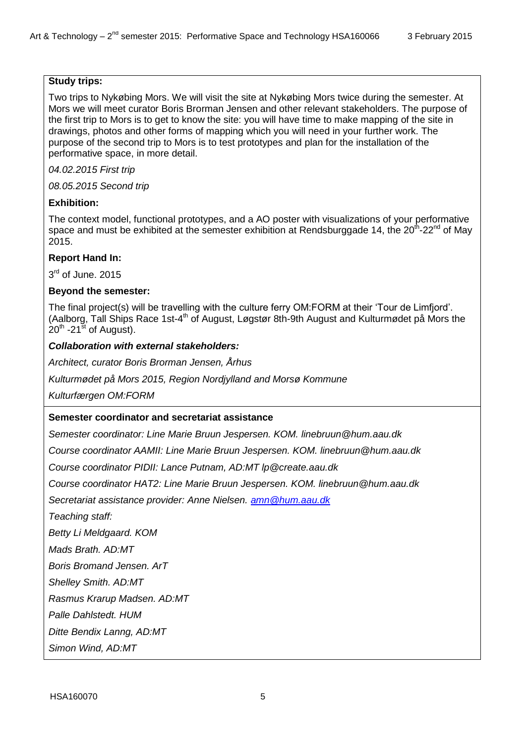#### **Study trips:**

Two trips to Nykøbing Mors. We will visit the site at Nykøbing Mors twice during the semester. At Mors we will meet curator Boris Brorman Jensen and other relevant stakeholders. The purpose of the first trip to Mors is to get to know the site: you will have time to make mapping of the site in drawings, photos and other forms of mapping which you will need in your further work. The purpose of the second trip to Mors is to test prototypes and plan for the installation of the performative space, in more detail.

*04.02.2015 First trip*

*08.05.2015 Second trip*

#### **Exhibition:**

The context model, functional prototypes, and a AO poster with visualizations of your performative space and must be exhibited at the semester exhibition at Rendsburggade 14, the 20<sup>th</sup>-22<sup>nd</sup> of May 2015.

#### **Report Hand In:**

3<sup>rd</sup> of June. 2015

#### **Beyond the semester:**

The final project(s) will be travelling with the culture ferry OM:FORM at their "Tour de Limfjord". (Aalborg, Tall Ships Race 1st-4<sup>th</sup> of August, Løgstør 8th-9th August and Kulturmødet på Mors the  $20^{\text{th}}$  -21<sup>st</sup> of August).

#### *Collaboration with external stakeholders:*

*Architect, curator Boris Brorman Jensen, Århus*

*Kulturmødet på Mors 2015, Region Nordjylland and Morsø Kommune*

*Kulturfærgen OM:FORM*

#### **Semester coordinator and secretariat assistance**

*Semester coordinator: Line Marie Bruun Jespersen. KOM. linebruun@hum.aau.dk*

*Course coordinator AAMII: Line Marie Bruun Jespersen. KOM. linebruun@hum.aau.dk*

*Course coordinator PIDII: Lance Putnam, AD:MT lp@create.aau.dk*

*Course coordinator HAT2: Line Marie Bruun Jespersen. KOM. linebruun@hum.aau.dk*

*Secretariat assistance provider: Anne Nielsen. [amn@hum.aau.dk](mailto:amn@hum.aau.dk)*

*Teaching staff:*

*Betty Li Meldgaard. KOM*

*Mads Brath. AD:MT*

*Boris Bromand Jensen. ArT*

*Shelley Smith. AD:MT*

*Rasmus Krarup Madsen. AD:MT*

*Palle Dahlstedt. HUM*

*Ditte Bendix Lanng, AD:MT*

*Simon Wind, AD:MT*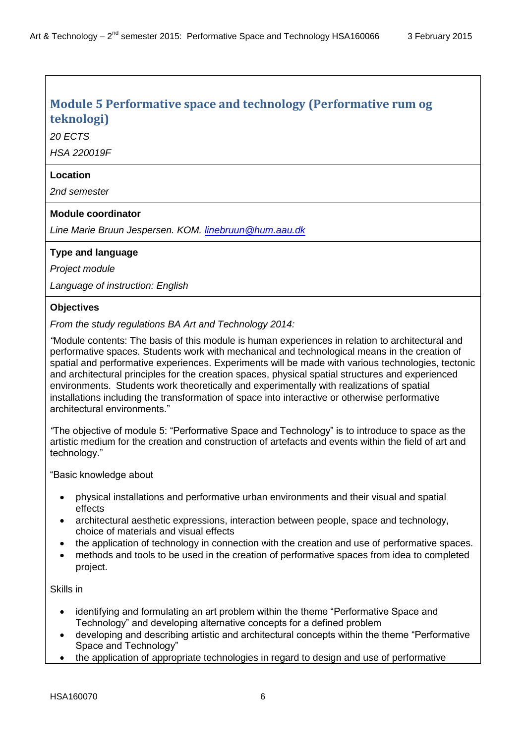# **Module 5 Performative space and technology (Performative rum og teknologi)**

#### *20 ECTS*

*HSA 220019F*

#### **Location**

*2nd semester*

#### **Module coordinator**

*Line Marie Bruun Jespersen. KOM. [linebruun@hum.aau.dk](mailto:linebruun@hum.aau.dk)*

#### **Type and language**

*Project module*

*Language of instruction: English*

#### **Objectives**

*From the study regulations BA Art and Technology 2014:*

*"*Module contents: The basis of this module is human experiences in relation to architectural and performative spaces. Students work with mechanical and technological means in the creation of spatial and performative experiences. Experiments will be made with various technologies, tectonic and architectural principles for the creation spaces, physical spatial structures and experienced environments. Students work theoretically and experimentally with realizations of spatial installations including the transformation of space into interactive or otherwise performative architectural environments."

*"*The objective of module 5: "Performative Space and Technology" is to introduce to space as the artistic medium for the creation and construction of artefacts and events within the field of art and technology."

"Basic knowledge about

- physical installations and performative urban environments and their visual and spatial effects
- architectural aesthetic expressions, interaction between people, space and technology, choice of materials and visual effects
- the application of technology in connection with the creation and use of performative spaces.
- methods and tools to be used in the creation of performative spaces from idea to completed project.

Skills in

- identifying and formulating an art problem within the theme "Performative Space and Technology" and developing alternative concepts for a defined problem
- developing and describing artistic and architectural concepts within the theme "Performative Space and Technology"
- the application of appropriate technologies in regard to design and use of performative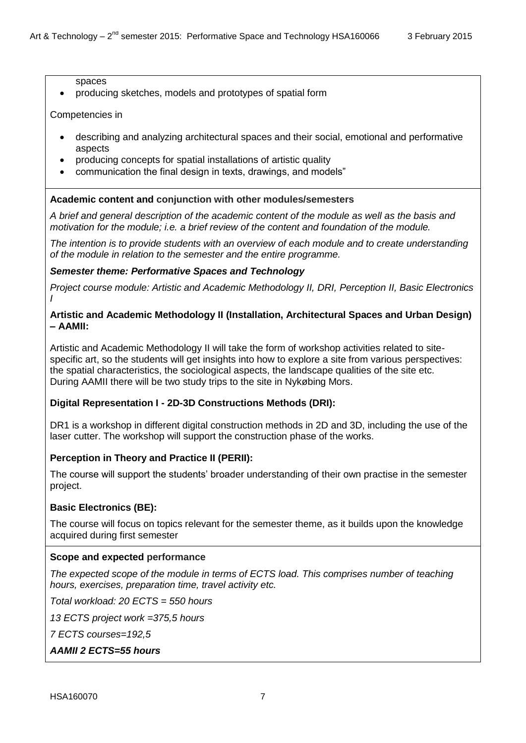spaces

producing sketches, models and prototypes of spatial form

Competencies in

- describing and analyzing architectural spaces and their social, emotional and performative aspects
- producing concepts for spatial installations of artistic quality
- communication the final design in texts, drawings, and models"

#### **Academic content and conjunction with other modules/semesters**

*A brief and general description of the academic content of the module as well as the basis and motivation for the module; i.e. a brief review of the content and foundation of the module.*

*The intention is to provide students with an overview of each module and to create understanding of the module in relation to the semester and the entire programme.*

#### *Semester theme: Performative Spaces and Technology*

*Project course module: Artistic and Academic Methodology II, DRI, Perception II, Basic Electronics I*

#### **Artistic and Academic Methodology II (Installation, Architectural Spaces and Urban Design) – AAMII:**

Artistic and Academic Methodology II will take the form of workshop activities related to sitespecific art, so the students will get insights into how to explore a site from various perspectives: the spatial characteristics, the sociological aspects, the landscape qualities of the site etc. During AAMII there will be two study trips to the site in Nykøbing Mors.

#### **Digital Representation I - 2D-3D Constructions Methods (DRI):**

DR1 is a workshop in different digital construction methods in 2D and 3D, including the use of the laser cutter. The workshop will support the construction phase of the works.

#### **Perception in Theory and Practice II (PERII):**

The course will support the students' broader understanding of their own practise in the semester project.

#### **Basic Electronics (BE):**

The course will focus on topics relevant for the semester theme, as it builds upon the knowledge acquired during first semester

#### **Scope and expected performance**

*The expected scope of the module in terms of ECTS load. This comprises number of teaching hours, exercises, preparation time, travel activity etc.*

*Total workload: 20 ECTS = 550 hours*

*13 ECTS project work =375,5 hours*

*7 ECTS courses=192,5*

*AAMII 2 ECTS=55 hours*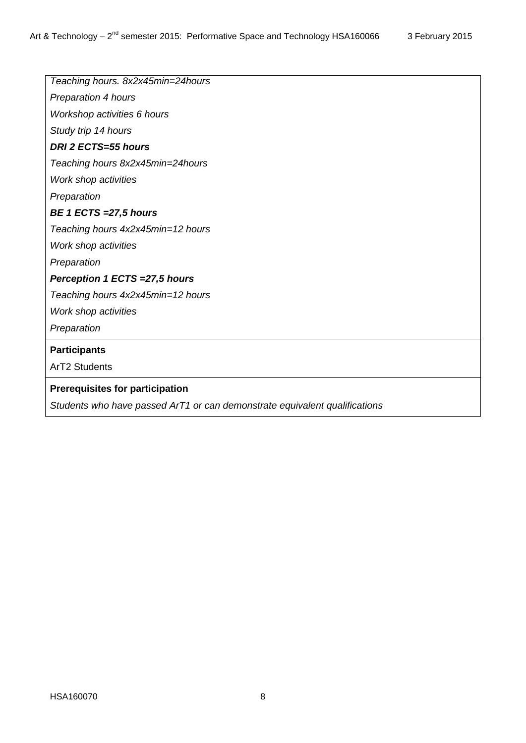| Teaching hours. 8x2x45min=24hours                                          |
|----------------------------------------------------------------------------|
| <b>Preparation 4 hours</b>                                                 |
| Workshop activities 6 hours                                                |
| Study trip 14 hours                                                        |
| DRI 2 ECTS=55 hours                                                        |
| Teaching hours 8x2x45min=24hours                                           |
| Work shop activities                                                       |
| Preparation                                                                |
| BE 1 ECTS = 27,5 hours                                                     |
| Teaching hours 4x2x45min=12 hours                                          |
| Work shop activities                                                       |
| Preparation                                                                |
| Perception 1 ECTS = 27,5 hours                                             |
| Teaching hours 4x2x45min=12 hours                                          |
| Work shop activities                                                       |
| Preparation                                                                |
| <b>Participants</b>                                                        |
| <b>ArT2 Students</b>                                                       |
| <b>Prerequisites for participation</b>                                     |
| Students who have passed ArT1 or can demonstrate equivalent qualifications |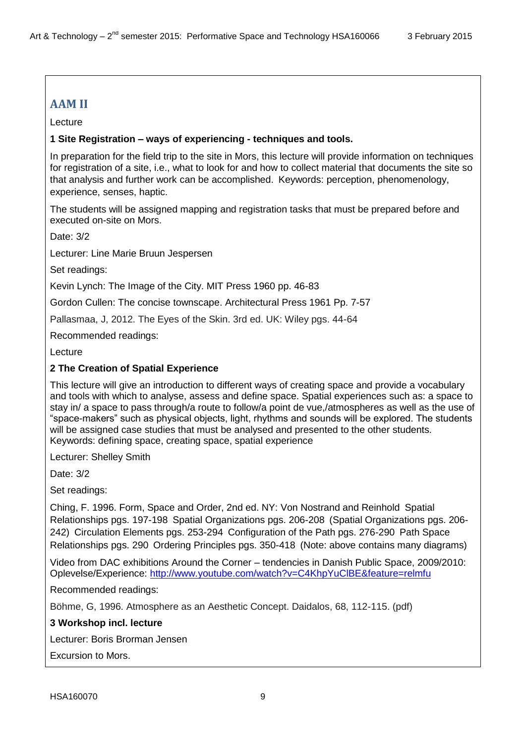# **AAM II**

Lecture

# **1 Site Registration – ways of experiencing - techniques and tools.**

In preparation for the field trip to the site in Mors, this lecture will provide information on techniques for registration of a site, i.e., what to look for and how to collect material that documents the site so that analysis and further work can be accomplished. Keywords: perception, phenomenology, experience, senses, haptic.

The students will be assigned mapping and registration tasks that must be prepared before and executed on-site on Mors.

Date: 3/2

Lecturer: Line Marie Bruun Jespersen

Set readings:

Kevin Lynch: The Image of the City. MIT Press 1960 pp. 46-83

Gordon Cullen: The concise townscape. Architectural Press 1961 Pp. 7-57

Pallasmaa, J, 2012. The Eyes of the Skin. 3rd ed. UK: Wiley pgs. 44-64

Recommended readings:

Lecture

# **2 The Creation of Spatial Experience**

This lecture will give an introduction to different ways of creating space and provide a vocabulary and tools with which to analyse, assess and define space. Spatial experiences such as: a space to stay in/ a space to pass through/a route to follow/a point de vue,/atmospheres as well as the use of "space-makers" such as physical objects, light, rhythms and sounds will be explored. The students will be assigned case studies that must be analysed and presented to the other students. Keywords: defining space, creating space, spatial experience

Lecturer: Shelley Smith

Date: 3/2

Set readings:

Ching, F. 1996. Form, Space and Order, 2nd ed. NY: Von Nostrand and Reinhold Spatial Relationships pgs. 197-198 Spatial Organizations pgs. 206-208 (Spatial Organizations pgs. 206- 242) Circulation Elements pgs. 253-294 Configuration of the Path pgs. 276-290 Path Space Relationships pgs. 290 Ordering Principles pgs. 350-418 (Note: above contains many diagrams)

Video from DAC exhibitions Around the Corner – tendencies in Danish Public Space, 2009/2010: Oplevelse/Experience:<http://www.youtube.com/watch?v=C4KhpYuClBE&feature=relmfu>

Recommended readings:

Böhme, G, 1996. Atmosphere as an Aesthetic Concept. Daidalos, 68, 112-115. (pdf)

# **3 Workshop incl. lecture**

Lecturer: Boris Brorman Jensen

Excursion to Mors.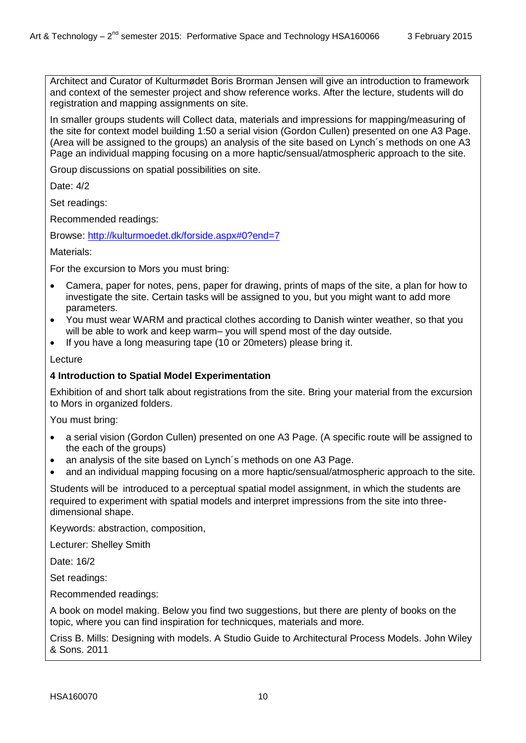Architect and Curator of Kulturmødet Boris Brorman Jensen will give an introduction to framework and context of the semester project and show reference works. After the lecture, students will do registration and mapping assignments on site.

In smaller groups students will Collect data, materials and impressions for mapping/measuring of the site for context model building 1:50 a serial vision (Gordon Cullen) presented on one A3 Page. (Area will be assigned to the groups) an analysis of the site based on Lynch´s methods on one A3 Page an individual mapping focusing on a more haptic/sensual/atmospheric approach to the site.

Group discussions on spatial possibilities on site.

Date: 4/2

Set readings:

Recommended readings:

Browse:<http://kulturmoedet.dk/forside.aspx#0?end=7>

Materials:

For the excursion to Mors you must bring:

- Camera, paper for notes, pens, paper for drawing, prints of maps of the site, a plan for how to investigate the site. Certain tasks will be assigned to you, but you might want to add more parameters.
- You must wear WARM and practical clothes according to Danish winter weather, so that you will be able to work and keep warm– you will spend most of the day outside.
- If you have a long measuring tape (10 or 20 meters) please bring it.

Lecture

#### **4 Introduction to Spatial Model Experimentation**

Exhibition of and short talk about registrations from the site. Bring your material from the excursion to Mors in organized folders.

You must bring:

- a serial vision (Gordon Cullen) presented on one A3 Page. (A specific route will be assigned to the each of the groups)
- an analysis of the site based on Lynch´s methods on one A3 Page.
- and an individual mapping focusing on a more haptic/sensual/atmospheric approach to the site.

Students will be introduced to a perceptual spatial model assignment, in which the students are required to experiment with spatial models and interpret impressions from the site into threedimensional shape.

Keywords: abstraction, composition,

Lecturer: Shelley Smith

Date: 16/2

Set readings:

Recommended readings:

A book on model making. Below you find two suggestions, but there are plenty of books on the topic, where you can find inspiration for technicques, materials and more.

Criss B. Mills: Designing with models. A Studio Guide to Architectural Process Models. John Wiley & Sons. 2011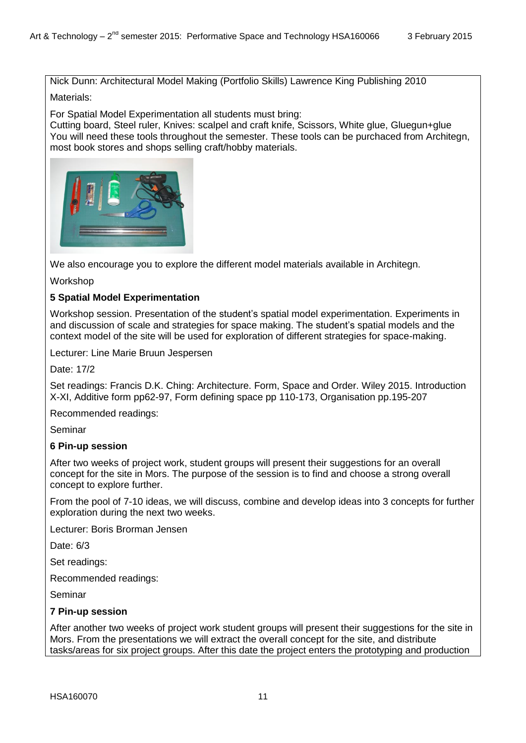Nick Dunn: Architectural Model Making (Portfolio Skills) Lawrence King Publishing 2010 Materials:

For Spatial Model Experimentation all students must bring:

Cutting board, Steel ruler, Knives: scalpel and craft knife, Scissors, White glue, Gluegun+glue You will need these tools throughout the semester. These tools can be purchaced from Architegn, most book stores and shops selling craft/hobby materials.



We also encourage you to explore the different model materials available in Architegn.

Workshop

#### **5 Spatial Model Experimentation**

Workshop session. Presentation of the student"s spatial model experimentation. Experiments in and discussion of scale and strategies for space making. The student"s spatial models and the context model of the site will be used for exploration of different strategies for space-making.

Lecturer: Line Marie Bruun Jespersen

Date: 17/2

Set readings: Francis D.K. Ching: Architecture. Form, Space and Order. Wiley 2015. Introduction X-XI, Additive form pp62-97, Form defining space pp 110-173, Organisation pp.195-207

Recommended readings:

Seminar

#### **6 Pin-up session**

After two weeks of project work, student groups will present their suggestions for an overall concept for the site in Mors. The purpose of the session is to find and choose a strong overall concept to explore further.

From the pool of 7-10 ideas, we will discuss, combine and develop ideas into 3 concepts for further exploration during the next two weeks.

Lecturer: Boris Brorman Jensen

Date: 6/3

Set readings:

Recommended readings:

Seminar

#### **7 Pin-up session**

After another two weeks of project work student groups will present their suggestions for the site in Mors. From the presentations we will extract the overall concept for the site, and distribute tasks/areas for six project groups. After this date the project enters the prototyping and production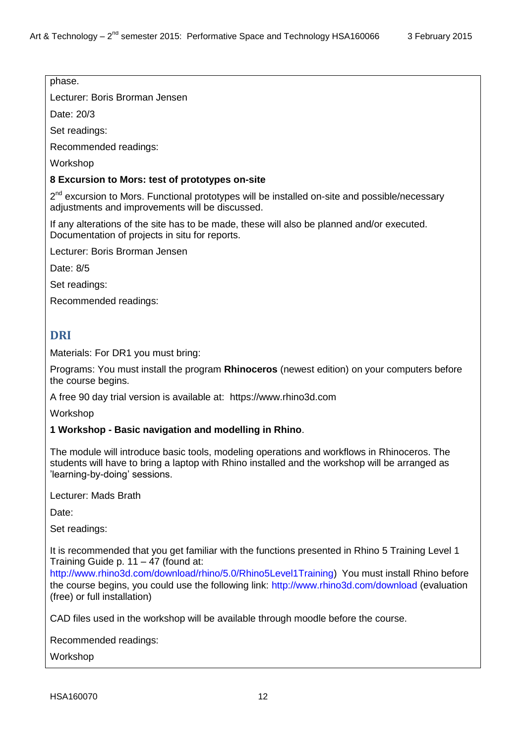#### phase.

Lecturer: Boris Brorman Jensen

Date: 20/3

Set readings:

Recommended readings:

Workshop

#### **8 Excursion to Mors: test of prototypes on-site**

2<sup>nd</sup> excursion to Mors. Functional prototypes will be installed on-site and possible/necessary adjustments and improvements will be discussed.

If any alterations of the site has to be made, these will also be planned and/or executed. Documentation of projects in situ for reports.

Lecturer: Boris Brorman Jensen

Date: 8/5

Set readings:

Recommended readings:

# **DRI**

Materials: For DR1 you must bring:

Programs: You must install the program **Rhinoceros** (newest edition) on your computers before the course begins.

A free 90 day trial version is available at: https://www.rhino3d.com

**Workshop** 

#### **1 Workshop - Basic navigation and modelling in Rhino**.

The module will introduce basic tools, modeling operations and workflows in Rhinoceros. The students will have to bring a laptop with Rhino installed and the workshop will be arranged as 'learning-by-doing' sessions.

Lecturer: Mads Brath

Date:

Set readings:

It is recommended that you get familiar with the functions presented in Rhino 5 Training Level 1 Training Guide p. 11 – 47 (found at:

http://www.rhino3d.com/download/rhino/5.0/Rhino5Level1Training) You must install Rhino before the course begins, you could use the following link: http://www.rhino3d.com/download (evaluation (free) or full installation)

CAD files used in the workshop will be available through moodle before the course.

Recommended readings:

Workshop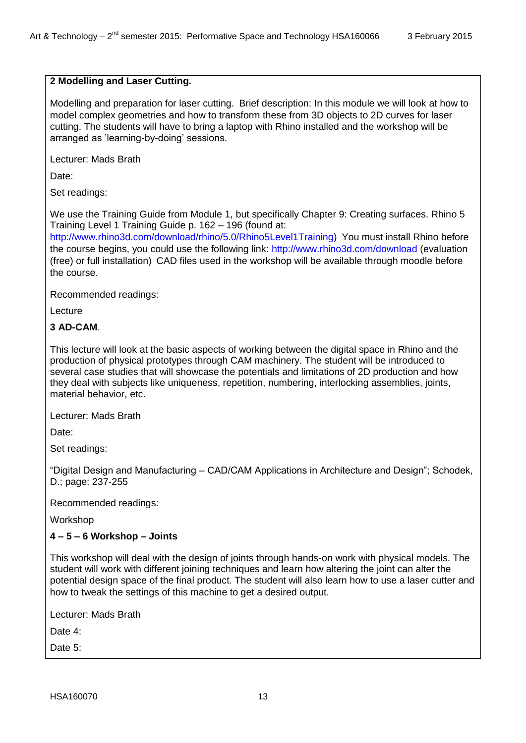#### **2 Modelling and Laser Cutting.**

Modelling and preparation for laser cutting. Brief description: In this module we will look at how to model complex geometries and how to transform these from 3D objects to 2D curves for laser cutting. The students will have to bring a laptop with Rhino installed and the workshop will be arranged as "learning-by-doing" sessions.

Lecturer: Mads Brath

Date:

Set readings:

We use the Training Guide from Module 1, but specifically Chapter 9: Creating surfaces. Rhino 5 Training Level 1 Training Guide p. 162 – 196 (found at:

http://www.rhino3d.com/download/rhino/5.0/Rhino5Level1Training) You must install Rhino before the course begins, you could use the following link: http://www.rhino3d.com/download (evaluation (free) or full installation) CAD files used in the workshop will be available through moodle before the course.

Recommended readings:

Lecture

#### **3 AD-CAM**.

This lecture will look at the basic aspects of working between the digital space in Rhino and the production of physical prototypes through CAM machinery. The student will be introduced to several case studies that will showcase the potentials and limitations of 2D production and how they deal with subjects like uniqueness, repetition, numbering, interlocking assemblies, joints, material behavior, etc.

Lecturer: Mads Brath

Date:

Set readings:

"Digital Design and Manufacturing – CAD/CAM Applications in Architecture and Design"; Schodek, D.; page: 237-255

Recommended readings:

Workshop

# **4 – 5 – 6 Workshop – Joints**

This workshop will deal with the design of joints through hands-on work with physical models. The student will work with different joining techniques and learn how altering the joint can alter the potential design space of the final product. The student will also learn how to use a laser cutter and how to tweak the settings of this machine to get a desired output.

Lecturer: Mads Brath

Date 4:

Date 5: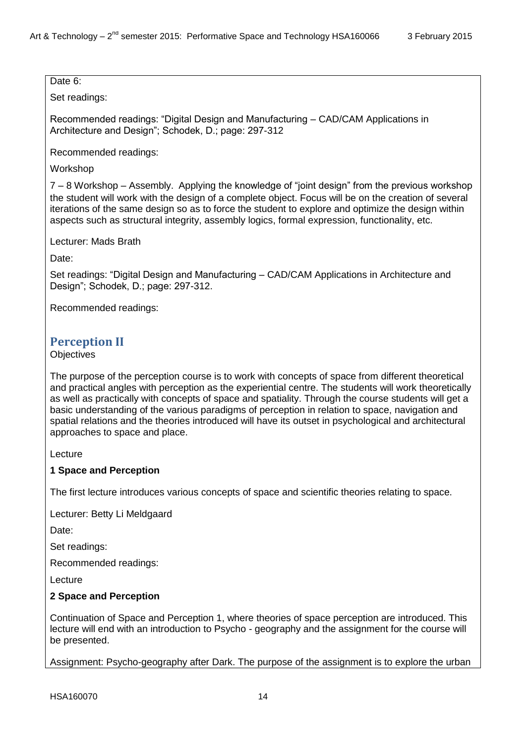#### Date 6:

Set readings:

Recommended readings: "Digital Design and Manufacturing – CAD/CAM Applications in Architecture and Design"; Schodek, D.; page: 297-312

Recommended readings:

Workshop

7 – 8 Workshop – Assembly. Applying the knowledge of "joint design" from the previous workshop the student will work with the design of a complete object. Focus will be on the creation of several iterations of the same design so as to force the student to explore and optimize the design within aspects such as structural integrity, assembly logics, formal expression, functionality, etc.

Lecturer: Mads Brath

Date:

Set readings: "Digital Design and Manufacturing – CAD/CAM Applications in Architecture and Design"; Schodek, D.; page: 297-312.

Recommended readings:

# **Perception II**

**Objectives** 

The purpose of the perception course is to work with concepts of space from different theoretical and practical angles with perception as the experiential centre. The students will work theoretically as well as practically with concepts of space and spatiality. Through the course students will get a basic understanding of the various paradigms of perception in relation to space, navigation and spatial relations and the theories introduced will have its outset in psychological and architectural approaches to space and place.

Lecture

#### **1 Space and Perception**

The first lecture introduces various concepts of space and scientific theories relating to space.

Lecturer: Betty Li Meldgaard

Date:

Set readings:

Recommended readings:

Lecture

#### **2 Space and Perception**

Continuation of Space and Perception 1, where theories of space perception are introduced. This lecture will end with an introduction to Psycho - geography and the assignment for the course will be presented.

Assignment: Psycho-geography after Dark. The purpose of the assignment is to explore the urban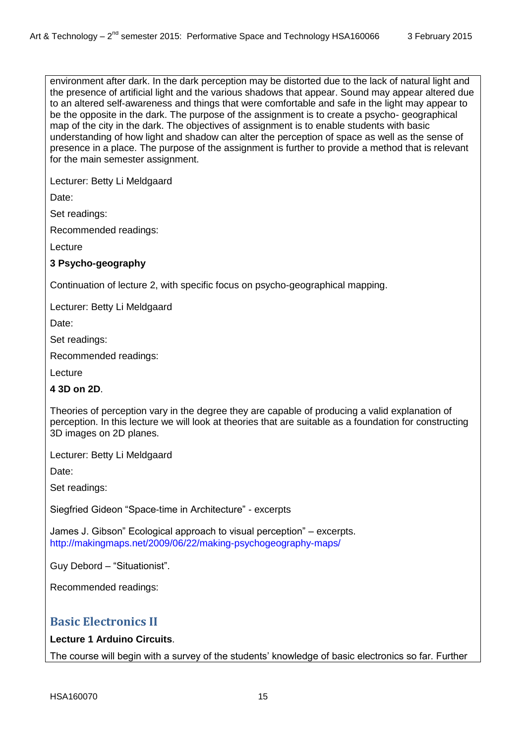environment after dark. In the dark perception may be distorted due to the lack of natural light and the presence of artificial light and the various shadows that appear. Sound may appear altered due to an altered self-awareness and things that were comfortable and safe in the light may appear to be the opposite in the dark. The purpose of the assignment is to create a psycho- geographical map of the city in the dark. The objectives of assignment is to enable students with basic understanding of how light and shadow can alter the perception of space as well as the sense of presence in a place. The purpose of the assignment is further to provide a method that is relevant for the main semester assignment.

Lecturer: Betty Li Meldgaard

Date:

Set readings:

Recommended readings:

Lecture

### **3 Psycho-geography**

Continuation of lecture 2, with specific focus on psycho-geographical mapping.

Lecturer: Betty Li Meldgaard

Date:

Set readings:

Recommended readings:

Lecture

#### **4 3D on 2D**.

Theories of perception vary in the degree they are capable of producing a valid explanation of perception. In this lecture we will look at theories that are suitable as a foundation for constructing 3D images on 2D planes.

Lecturer: Betty Li Meldgaard

Date:

Set readings:

Siegfried Gideon "Space-time in Architecture" - excerpts

James J. Gibson" Ecological approach to visual perception" – excerpts. http://makingmaps.net/2009/06/22/making-psychogeography-maps/

Guy Debord – "Situationist".

Recommended readings:

# **Basic Electronics II**

# **Lecture 1 Arduino Circuits**.

The course will begin with a survey of the students" knowledge of basic electronics so far. Further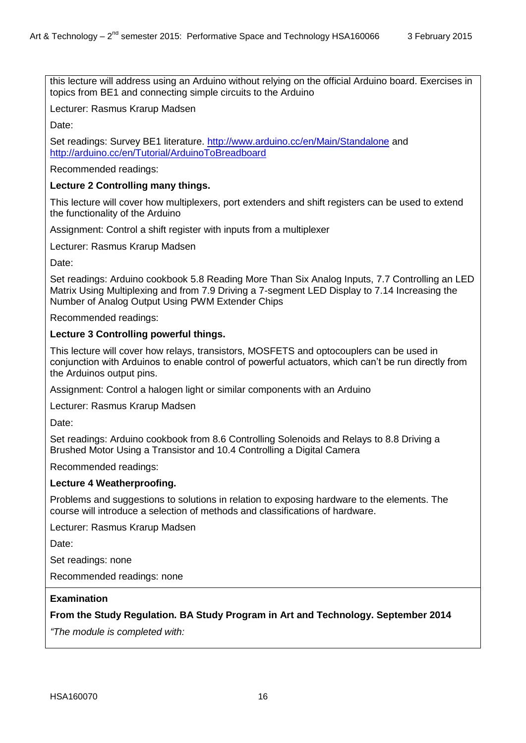this lecture will address using an Arduino without relying on the official Arduino board. Exercises in topics from BE1 and connecting simple circuits to the Arduino

Lecturer: Rasmus Krarup Madsen

Date:

Set readings: Survey BE1 literature.<http://www.arduino.cc/en/Main/Standalone> and <http://arduino.cc/en/Tutorial/ArduinoToBreadboard>

Recommended readings:

#### **Lecture 2 Controlling many things.**

This lecture will cover how multiplexers, port extenders and shift registers can be used to extend the functionality of the Arduino

Assignment: Control a shift register with inputs from a multiplexer

Lecturer: Rasmus Krarup Madsen

Date:

Set readings: Arduino cookbook 5.8 Reading More Than Six Analog Inputs, 7.7 Controlling an LED Matrix Using Multiplexing and from 7.9 Driving a 7-segment LED Display to 7.14 Increasing the Number of Analog Output Using PWM Extender Chips

Recommended readings:

#### **Lecture 3 Controlling powerful things.**

This lecture will cover how relays, transistors, MOSFETS and optocouplers can be used in conjunction with Arduinos to enable control of powerful actuators, which can"t be run directly from the Arduinos output pins.

Assignment: Control a halogen light or similar components with an Arduino

Lecturer: Rasmus Krarup Madsen

Date:

Set readings: Arduino cookbook from 8.6 Controlling Solenoids and Relays to 8.8 Driving a Brushed Motor Using a Transistor and 10.4 Controlling a Digital Camera

Recommended readings:

#### **Lecture 4 Weatherproofing.**

Problems and suggestions to solutions in relation to exposing hardware to the elements. The course will introduce a selection of methods and classifications of hardware.

Lecturer: Rasmus Krarup Madsen

Date:

Set readings: none

Recommended readings: none

#### **Examination**

**From the Study Regulation. BA Study Program in Art and Technology. September 2014**

*"The module is completed with:*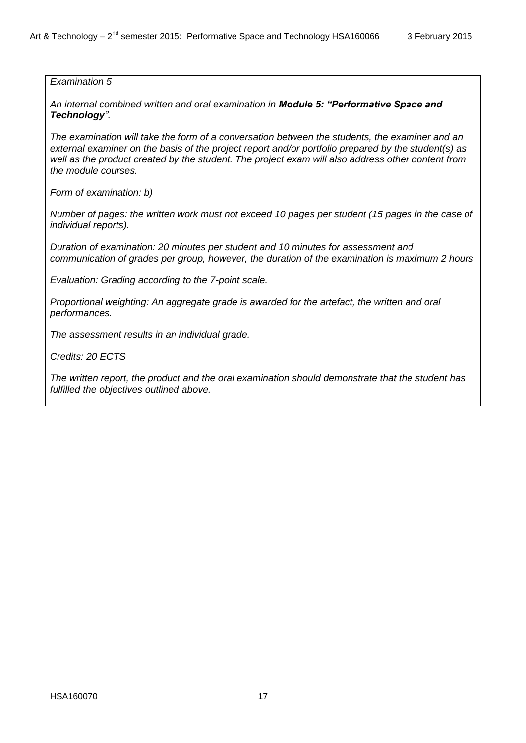*Examination 5* 

*An internal combined written and oral examination in Module 5: "Performative Space and Technology".*

*The examination will take the form of a conversation between the students, the examiner and an external examiner on the basis of the project report and/or portfolio prepared by the student(s) as well as the product created by the student. The project exam will also address other content from the module courses.*

*Form of examination: b)*

*Number of pages: the written work must not exceed 10 pages per student (15 pages in the case of individual reports).*

*Duration of examination: 20 minutes per student and 10 minutes for assessment and communication of grades per group, however, the duration of the examination is maximum 2 hours*

*Evaluation: Grading according to the 7-point scale.*

*Proportional weighting: An aggregate grade is awarded for the artefact, the written and oral performances.*

*The assessment results in an individual grade.*

*Credits: 20 ECTS*

*The written report, the product and the oral examination should demonstrate that the student has fulfilled the objectives outlined above.*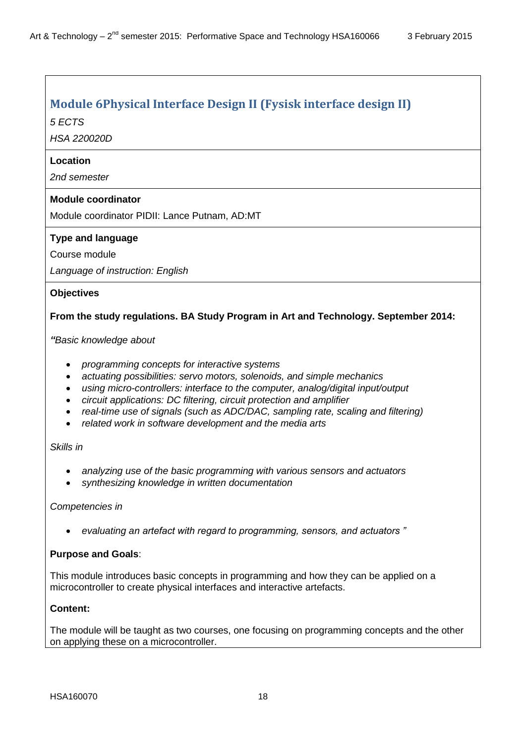# **Module 6Physical Interface Design II (Fysisk interface design II)**

*5 ECTS*

*HSA 220020D*

#### **Location**

*2nd semester*

#### **Module coordinator**

Module coordinator PIDII: Lance Putnam, AD:MT

#### **Type and language**

Course module

*Language of instruction: English*

#### **Objectives**

#### **From the study regulations. BA Study Program in Art and Technology. September 2014:**

*"Basic knowledge about* 

- *programming concepts for interactive systems*
- *actuating possibilities: servo motors, solenoids, and simple mechanics*
- *using micro-controllers: interface to the computer, analog/digital input/output*
- *circuit applications: DC filtering, circuit protection and amplifier*
- *real-time use of signals (such as ADC/DAC, sampling rate, scaling and filtering)*
- *related work in software development and the media arts*

*Skills in* 

- *analyzing use of the basic programming with various sensors and actuators*
- *synthesizing knowledge in written documentation*

#### *Competencies in*

*evaluating an artefact with regard to programming, sensors, and actuators "*

#### **Purpose and Goals**:

This module introduces basic concepts in programming and how they can be applied on a microcontroller to create physical interfaces and interactive artefacts.

#### **Content:**

The module will be taught as two courses, one focusing on programming concepts and the other on applying these on a microcontroller.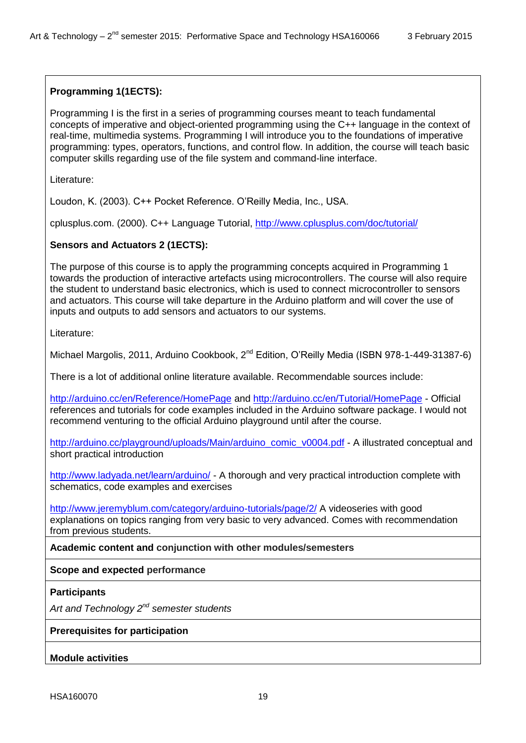#### **Programming 1(1ECTS):**

Programming I is the first in a series of programming courses meant to teach fundamental concepts of imperative and object-oriented programming using the C++ language in the context of real-time, multimedia systems. Programming I will introduce you to the foundations of imperative programming: types, operators, functions, and control flow. In addition, the course will teach basic computer skills regarding use of the file system and command-line interface.

Literature:

Loudon, K. (2003). C++ Pocket Reference. O"Reilly Media, Inc., USA.

cplusplus.com. (2000). C++ Language Tutorial,<http://www.cplusplus.com/doc/tutorial/>

#### **Sensors and Actuators 2 (1ECTS):**

The purpose of this course is to apply the programming concepts acquired in Programming 1 towards the production of interactive artefacts using microcontrollers. The course will also require the student to understand basic electronics, which is used to connect microcontroller to sensors and actuators. This course will take departure in the Arduino platform and will cover the use of inputs and outputs to add sensors and actuators to our systems.

Literature:

Michael Margolis, 2011, Arduino Cookbook, 2<sup>nd</sup> Edition, O'Reilly Media (ISBN 978-1-449-31387-6)

There is a lot of additional online literature available. Recommendable sources include:

<http://arduino.cc/en/Reference/HomePage> and<http://arduino.cc/en/Tutorial/HomePage> - Official references and tutorials for code examples included in the Arduino software package. I would not recommend venturing to the official Arduino playground until after the course.

[http://arduino.cc/playground/uploads/Main/arduino\\_comic\\_v0004.pdf](http://arduino.cc/playground/uploads/Main/arduino_comic_v0004.pdf) - A illustrated conceptual and short practical introduction

<http://www.ladyada.net/learn/arduino/> - A thorough and very practical introduction complete with schematics, code examples and exercises

<http://www.jeremyblum.com/category/arduino-tutorials/page/2/> A videoseries with good explanations on topics ranging from very basic to very advanced. Comes with recommendation from previous students.

**Academic content and conjunction with other modules/semesters** 

**Scope and expected performance**

#### **Participants**

*Art and Technology 2nd semester students*

**Prerequisites for participation**

#### **Module activities**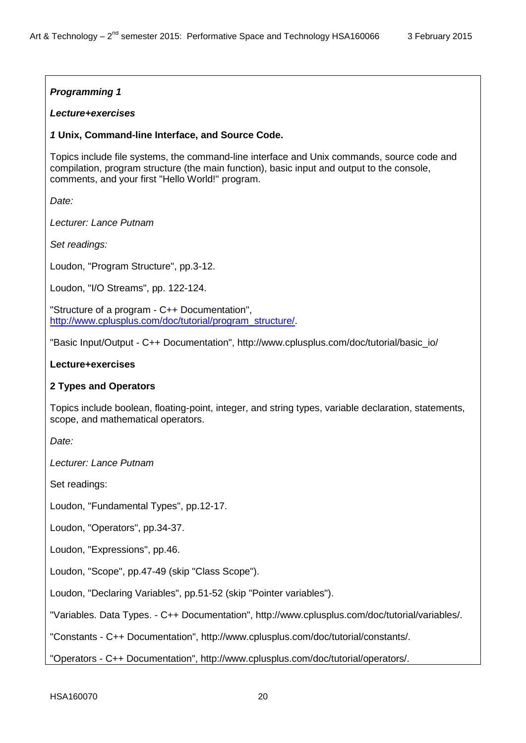#### *Programming 1*

#### *Lecture+exercises*

#### *1* **Unix, Command-line Interface, and Source Code.**

Topics include file systems, the command-line interface and Unix commands, source code and compilation, program structure (the main function), basic input and output to the console, comments, and your first "Hello World!" program.

*Date:*

*Lecturer: Lance Putnam*

*Set readings:*

Loudon, "Program Structure", pp.3-12.

Loudon, "I/O Streams", pp. 122-124.

"Structure of a program - C++ Documentation", [http://www.cplusplus.com/doc/tutorial/program\\_structure/.](http://www.cplusplus.com/doc/tutorial/program_structure/)

"Basic Input/Output - C++ Documentation", http://www.cplusplus.com/doc/tutorial/basic\_io/

#### **Lecture+exercises**

#### **2 Types and Operators**

Topics include boolean, floating-point, integer, and string types, variable declaration, statements, scope, and mathematical operators.

*Date:*

*Lecturer: Lance Putnam*

Set readings:

Loudon, "Fundamental Types", pp.12-17.

Loudon, "Operators", pp.34-37.

Loudon, "Expressions", pp.46.

Loudon, "Scope", pp.47-49 (skip "Class Scope").

Loudon, "Declaring Variables", pp.51-52 (skip "Pointer variables").

"Variables. Data Types. - C++ Documentation", http://www.cplusplus.com/doc/tutorial/variables/.

"Constants - C++ Documentation", http://www.cplusplus.com/doc/tutorial/constants/.

"Operators - C++ Documentation", http://www.cplusplus.com/doc/tutorial/operators/.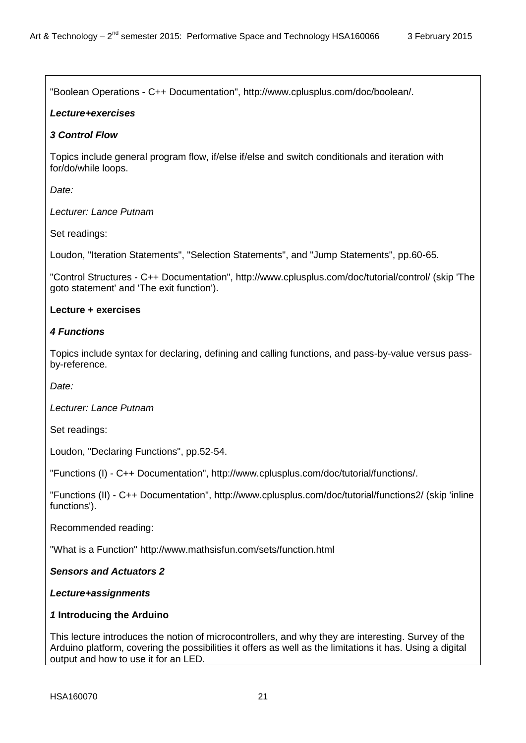"Boolean Operations - C++ Documentation", http://www.cplusplus.com/doc/boolean/.

#### *Lecture+exercises*

#### *3 Control Flow*

Topics include general program flow, if/else if/else and switch conditionals and iteration with for/do/while loops.

*Date:*

*Lecturer: Lance Putnam*

Set readings:

Loudon, "Iteration Statements", "Selection Statements", and "Jump Statements", pp.60-65.

"Control Structures - C++ Documentation", http://www.cplusplus.com/doc/tutorial/control/ (skip 'The goto statement' and 'The exit function').

#### **Lecture + exercises**

#### *4 Functions*

Topics include syntax for declaring, defining and calling functions, and pass-by-value versus passby-reference.

*Date:*

*Lecturer: Lance Putnam*

Set readings:

Loudon, "Declaring Functions", pp.52-54.

"Functions (I) - C++ Documentation", http://www.cplusplus.com/doc/tutorial/functions/.

"Functions (II) - C++ Documentation", http://www.cplusplus.com/doc/tutorial/functions2/ (skip 'inline functions').

Recommended reading:

"What is a Function" http://www.mathsisfun.com/sets/function.html

*Sensors and Actuators 2*

*Lecture+assignments*

#### *1* **Introducing the Arduino**

This lecture introduces the notion of microcontrollers, and why they are interesting. Survey of the Arduino platform, covering the possibilities it offers as well as the limitations it has. Using a digital output and how to use it for an LED.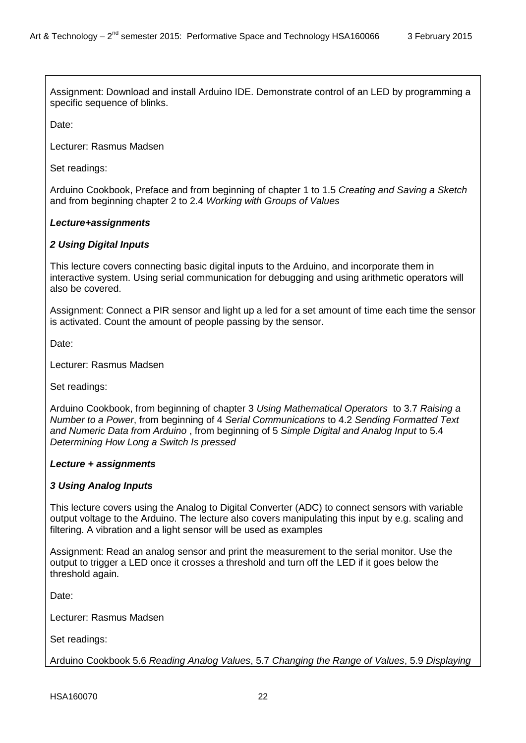Assignment: Download and install Arduino IDE. Demonstrate control of an LED by programming a specific sequence of blinks.

Date:

Lecturer: Rasmus Madsen

Set readings:

Arduino Cookbook, Preface and from beginning of chapter 1 to 1.5 *Creating and Saving a Sketch* and from beginning chapter 2 to 2.4 *Working with Groups of Values*

#### *Lecture+assignments*

#### *2 Using Digital Inputs*

This lecture covers connecting basic digital inputs to the Arduino, and incorporate them in interactive system. Using serial communication for debugging and using arithmetic operators will also be covered.

Assignment: Connect a PIR sensor and light up a led for a set amount of time each time the sensor is activated. Count the amount of people passing by the sensor.

Date:

Lecturer: Rasmus Madsen

Set readings:

Arduino Cookbook, from beginning of chapter 3 *Using Mathematical Operators* to 3.7 *Raising a Number to a Power*, from beginning of 4 *Serial Communications* to 4.2 *Sending Formatted Text and Numeric Data from Arduino* , from beginning of 5 *Simple Digital and Analog Input* to 5.4 *Determining How Long a Switch Is pressed*

#### *Lecture + assignments*

#### *3 Using Analog Inputs*

This lecture covers using the Analog to Digital Converter (ADC) to connect sensors with variable output voltage to the Arduino. The lecture also covers manipulating this input by e.g. scaling and filtering. A vibration and a light sensor will be used as examples

Assignment: Read an analog sensor and print the measurement to the serial monitor. Use the output to trigger a LED once it crosses a threshold and turn off the LED if it goes below the threshold again.

Date:

Lecturer: Rasmus Madsen

Set readings:

Arduino Cookbook 5.6 *Reading Analog Values*, 5.7 *Changing the Range of Values*, 5.9 *Displaying*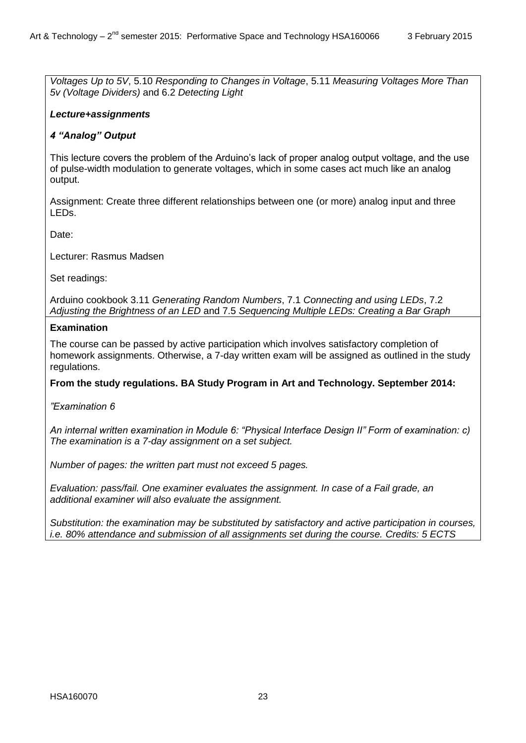*Voltages Up to 5V*, 5.10 *Responding to Changes in Voltage*, 5.11 *Measuring Voltages More Than 5v (Voltage Dividers)* and 6.2 *Detecting Light*

#### *Lecture+assignments*

#### *4 "Analog" Output*

This lecture covers the problem of the Arduino's lack of proper analog output voltage, and the use of pulse-width modulation to generate voltages, which in some cases act much like an analog output.

Assignment: Create three different relationships between one (or more) analog input and three LEDs.

Date:

Lecturer: Rasmus Madsen

Set readings:

Arduino cookbook 3.11 *Generating Random Numbers*, 7.1 *Connecting and using LEDs*, 7.2 *Adjusting the Brightness of an LED* and 7.5 *Sequencing Multiple LEDs: Creating a Bar Graph*

#### **Examination**

The course can be passed by active participation which involves satisfactory completion of homework assignments. Otherwise, a 7-day written exam will be assigned as outlined in the study regulations.

#### **From the study regulations. BA Study Program in Art and Technology. September 2014:**

*"Examination 6* 

*An internal written examination in Module 6: "Physical Interface Design II" Form of examination: c) The examination is a 7-day assignment on a set subject.*

*Number of pages: the written part must not exceed 5 pages.* 

*Evaluation: pass/fail. One examiner evaluates the assignment. In case of a Fail grade, an additional examiner will also evaluate the assignment.* 

*Substitution: the examination may be substituted by satisfactory and active participation in courses, i.e. 80% attendance and submission of all assignments set during the course. Credits: 5 ECTS*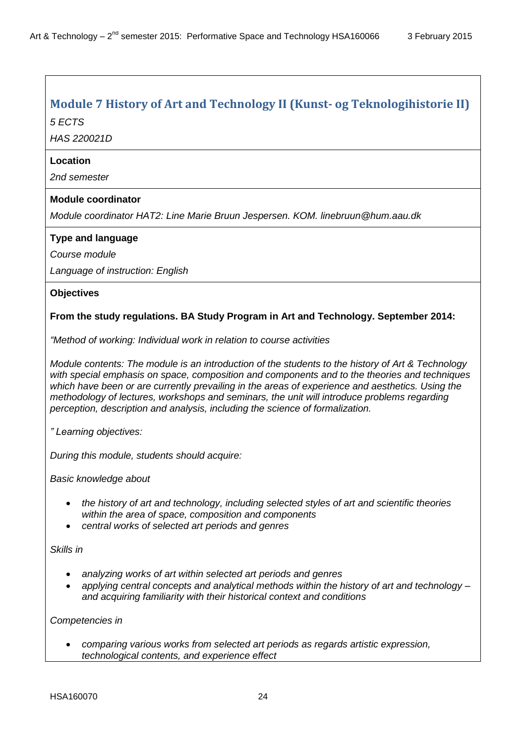# **Module 7 History of Art and Technology II (Kunst- og Teknologihistorie II)** *5 ECTS*

# *HAS 220021D*

#### **Location**

*2nd semester*

#### **Module coordinator**

*Module coordinator HAT2: Line Marie Bruun Jespersen. KOM. linebruun@hum.aau.dk*

#### **Type and language**

*Course module*

*Language of instruction: English*

#### **Objectives**

#### **From the study regulations. BA Study Program in Art and Technology. September 2014:**

*"Method of working: Individual work in relation to course activities*

*Module contents: The module is an introduction of the students to the history of Art & Technology with special emphasis on space, composition and components and to the theories and techniques which have been or are currently prevailing in the areas of experience and aesthetics. Using the methodology of lectures, workshops and seminars, the unit will introduce problems regarding perception, description and analysis, including the science of formalization.*

*" Learning objectives:* 

*During this module, students should acquire:* 

*Basic knowledge about* 

- *the history of art and technology, including selected styles of art and scientific theories within the area of space, composition and components*
- *central works of selected art periods and genres*

*Skills in* 

- *analyzing works of art within selected art periods and genres*
- *applying central concepts and analytical methods within the history of art and technology – and acquiring familiarity with their historical context and conditions*

*Competencies in* 

 *comparing various works from selected art periods as regards artistic expression, technological contents, and experience effect*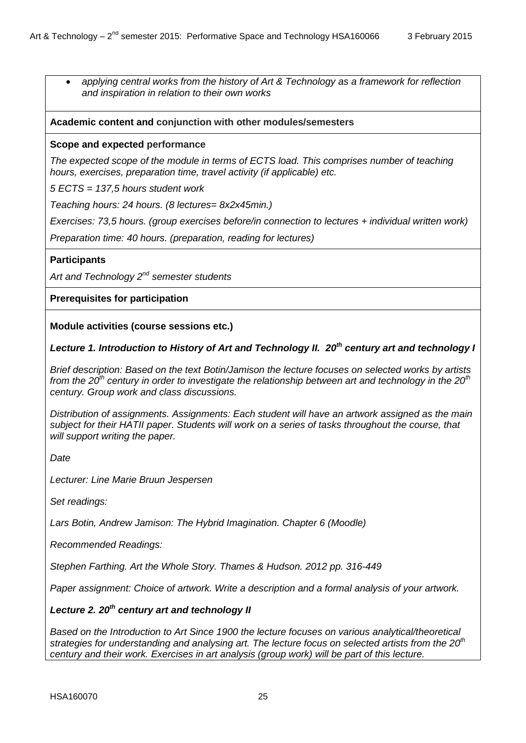*applying central works from the history of Art & Technology as a framework for reflection and inspiration in relation to their own works*

#### **Academic content and conjunction with other modules/semesters**

#### **Scope and expected performance**

*The expected scope of the module in terms of ECTS load. This comprises number of teaching hours, exercises, preparation time, travel activity (if applicable) etc.*

*5 ECTS = 137,5 hours student work*

*Teaching hours: 24 hours. (8 lectures= 8x2x45min.)*

*Exercises: 73,5 hours. (group exercises before/in connection to lectures + individual written work)*

*Preparation time: 40 hours. (preparation, reading for lectures)*

#### **Participants**

*Art and Technology 2nd semester students*

#### **Prerequisites for participation**

#### **Module activities (course sessions etc.)**

### *Lecture 1. Introduction to History of Art and Technology II. 20th century art and technology I*

*Brief description: Based on the text Botin/Jamison the lecture focuses on selected works by artists from the 20th century in order to investigate the relationship between art and technology in the 20th century. Group work and class discussions.*

*Distribution of assignments. Assignments: Each student will have an artwork assigned as the main subject for their HATII paper. Students will work on a series of tasks throughout the course, that will support writing the paper.*

*Date*

*Lecturer: Line Marie Bruun Jespersen*

*Set readings:*

*Lars Botin, Andrew Jamison: The Hybrid Imagination. Chapter 6 (Moodle)*

*Recommended Readings:*

*Stephen Farthing. Art the Whole Story. Thames & Hudson. 2012 pp. 316-449*

*Paper assignment: Choice of artwork. Write a description and a formal analysis of your artwork.*

#### *Lecture 2. 20th century art and technology II*

*Based on the Introduction to Art Since 1900 the lecture focuses on various analytical/theoretical strategies for understanding and analysing art. The lecture focus on selected artists from the 20th century and their work. Exercises in art analysis (group work) will be part of this lecture.*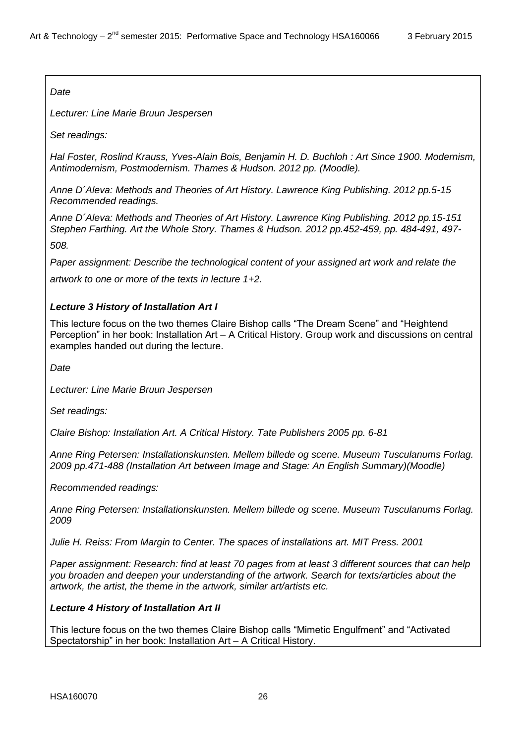#### *Date*

*Lecturer: Line Marie Bruun Jespersen*

*Set readings:*

*Hal Foster, Roslind Krauss, Yves-Alain Bois, Benjamin H. D. Buchloh : Art Since 1900. Modernism, Antimodernism, Postmodernism. Thames & Hudson. 2012 pp. (Moodle).*

*Anne D´Aleva: Methods and Theories of Art History. Lawrence King Publishing. 2012 pp.5-15 Recommended readings.*

*Anne D´Aleva: Methods and Theories of Art History. Lawrence King Publishing. 2012 pp.15-151 Stephen Farthing. Art the Whole Story. Thames & Hudson. 2012 pp.452-459, pp. 484-491, 497-*

*508.*

*Paper assignment: Describe the technological content of your assigned art work and relate the artwork to one or more of the texts in lecture 1+2.*

#### *Lecture 3 History of Installation Art I*

This lecture focus on the two themes Claire Bishop calls "The Dream Scene" and "Heightend Perception" in her book: Installation Art – A Critical History. Group work and discussions on central examples handed out during the lecture.

*Date*

*Lecturer: Line Marie Bruun Jespersen*

*Set readings:* 

*Claire Bishop: Installation Art. A Critical History. Tate Publishers 2005 pp. 6-81*

*Anne Ring Petersen: Installationskunsten. Mellem billede og scene. Museum Tusculanums Forlag. 2009 pp.471-488 (Installation Art between Image and Stage: An English Summary)(Moodle)*

*Recommended readings:*

*Anne Ring Petersen: Installationskunsten. Mellem billede og scene. Museum Tusculanums Forlag. 2009*

*Julie H. Reiss: From Margin to Center. The spaces of installations art. MIT Press. 2001*

*Paper assignment: Research: find at least 70 pages from at least 3 different sources that can help you broaden and deepen your understanding of the artwork. Search for texts/articles about the artwork, the artist, the theme in the artwork, similar art/artists etc.*

#### *Lecture 4 History of Installation Art II*

This lecture focus on the two themes Claire Bishop calls "Mimetic Engulfment" and "Activated Spectatorship" in her book: Installation Art – A Critical History.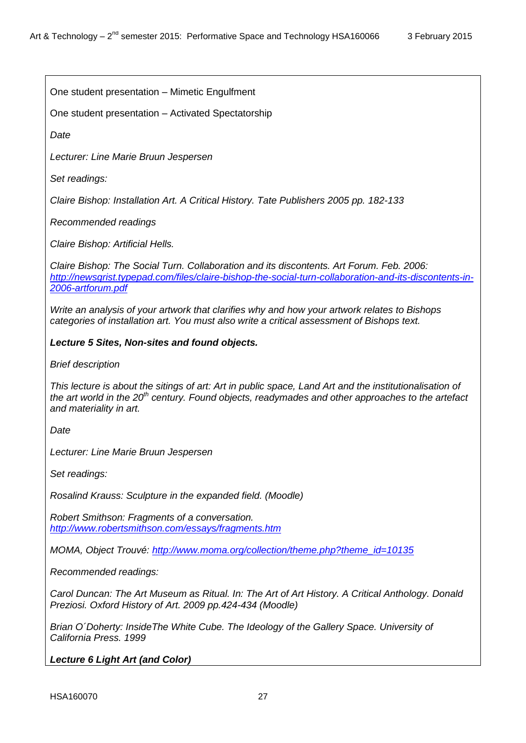One student presentation – Mimetic Engulfment

One student presentation – Activated Spectatorship

*Date*

*Lecturer: Line Marie Bruun Jespersen*

*Set readings:*

*Claire Bishop: Installation Art. A Critical History. Tate Publishers 2005 pp. 182-133*

*Recommended readings*

*Claire Bishop: Artificial Hells.*

*Claire Bishop: The Social Turn. Collaboration and its discontents. Art Forum. Feb. 2006: [http://newsgrist.typepad.com/files/claire-bishop-the-social-turn-collaboration-and-its-discontents-in-](http://newsgrist.typepad.com/files/claire-bishop-the-social-turn-collaboration-and-its-discontents-in-2006-artforum.pdf)[2006-artforum.pdf](http://newsgrist.typepad.com/files/claire-bishop-the-social-turn-collaboration-and-its-discontents-in-2006-artforum.pdf)*

*Write an analysis of your artwork that clarifies why and how your artwork relates to Bishops categories of installation art. You must also write a critical assessment of Bishops text.*

#### *Lecture 5 Sites, Non-sites and found objects.*

*Brief description*

*This lecture is about the sitings of art: Art in public space, Land Art and the institutionalisation of the art world in the 20th century. Found objects, readymades and other approaches to the artefact and materiality in art.*

*Date*

*Lecturer: Line Marie Bruun Jespersen*

*Set readings:*

*Rosalind Krauss: Sculpture in the expanded field. (Moodle)*

*Robert Smithson: Fragments of a conversation. <http://www.robertsmithson.com/essays/fragments.htm>*

*MOMA, Object Trouvé: [http://www.moma.org/collection/theme.php?theme\\_id=10135](http://www.moma.org/collection/theme.php?theme_id=10135)*

*Recommended readings:*

*Carol Duncan: The Art Museum as Ritual. In: The Art of Art History. A Critical Anthology. Donald Preziosi. Oxford History of Art. 2009 pp.424-434 (Moodle)*

*Brian O´Doherty: InsideThe White Cube. The Ideology of the Gallery Space. University of California Press. 1999*

*Lecture 6 Light Art (and Color)*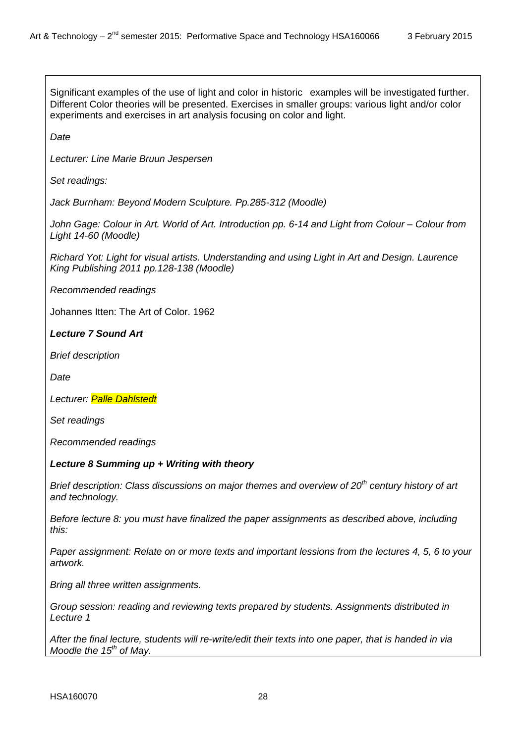Significant examples of the use of light and color in historic examples will be investigated further. Different Color theories will be presented. Exercises in smaller groups: various light and/or color experiments and exercises in art analysis focusing on color and light.

*Date*

*Lecturer: Line Marie Bruun Jespersen*

*Set readings:* 

*Jack Burnham: Beyond Modern Sculpture. Pp.285-312 (Moodle)*

*John Gage: Colour in Art. World of Art. Introduction pp. 6-14 and Light from Colour – Colour from Light 14-60 (Moodle)*

*Richard Yot: Light for visual artists. Understanding and using Light in Art and Design. Laurence King Publishing 2011 pp.128-138 (Moodle)*

*Recommended readings*

Johannes Itten: The Art of Color. 1962

#### *Lecture 7 Sound Art*

*Brief description*

*Date*

*Lecturer: Palle Dahlstedt*

*Set readings* 

*Recommended readings*

#### *Lecture 8 Summing up + Writing with theory*

*Brief description: Class discussions on major themes and overview of 20th century history of art and technology.*

*Before lecture 8: you must have finalized the paper assignments as described above, including this:*

*Paper assignment: Relate on or more texts and important lessions from the lectures 4, 5, 6 to your artwork.*

*Bring all three written assignments.*

*Group session: reading and reviewing texts prepared by students. Assignments distributed in Lecture 1*

*After the final lecture, students will re-write/edit their texts into one paper, that is handed in via Moodle the 15th of May.*